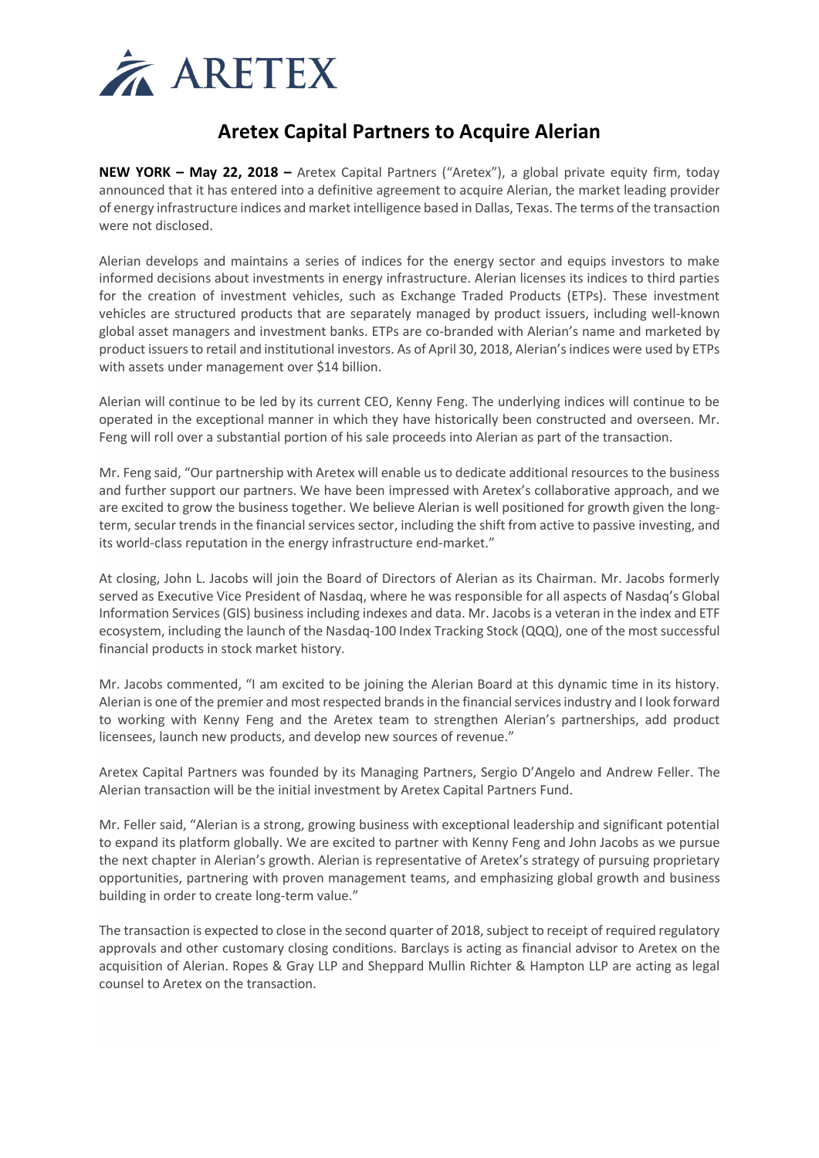

## **Aretex Capital Partners to Acquire Alerian**

**NEW YORK – May 22, 2018 –** Aretex Capital Partners ("Aretex"), a global private equity firm, today announced that it has entered into a definitive agreement to acquire Alerian, the market leading provider of energy infrastructure indices and market intelligence based in Dallas, Texas. The terms of the transaction were not disclosed.

Alerian develops and maintains a series of indices for the energy sector and equips investors to make informed decisions about investments in energy infrastructure. Alerian licenses its indices to third parties for the creation of investment vehicles, such as Exchange Traded Products (ETPs). These investment vehicles are structured products that are separately managed by product issuers, including well-known global asset managers and investment banks. ETPs are co-branded with Alerian's name and marketed by product issuers to retail and institutional investors. As of April 30, 2018, Alerian's indices were used by ETPs with assets under management over \$14 billion.

Alerian will continue to be led by its current CEO, Kenny Feng. The underlying indices will continue to be operated in the exceptional manner in which they have historically been constructed and overseen. Mr. Feng will roll over a substantial portion of his sale proceeds into Alerian as part of the transaction.

Mr. Feng said, "Our partnership with Aretex will enable us to dedicate additional resources to the business and further support our partners. We have been impressed with Aretex's collaborative approach, and we are excited to grow the business together. We believe Alerian is well positioned for growth given the longterm, secular trends in the financial services sector, including the shift from active to passive investing, and its world-class reputation in the energy infrastructure end-market."

At closing, John L. Jacobs will join the Board of Directors of Alerian as its Chairman. Mr. Jacobs formerly served as Executive Vice President of Nasdaq, where he was responsible for all aspects of Nasdaq's Global Information Services (GIS) business including indexes and data. Mr. Jacobs is a veteran in the index and ETF ecosystem, including the launch of the Nasdaq-100 Index Tracking Stock (QQQ), one of the most successful financial products in stock market history.

Mr. Jacobs commented, "I am excited to be joining the Alerian Board at this dynamic time in its history. Alerian is one of the premier and most respected brands in the financial services industry and I look forward to working with Kenny Feng and the Aretex team to strengthen Alerian's partnerships, add product licensees, launch new products, and develop new sources of revenue."

Aretex Capital Partners was founded by its Managing Partners, Sergio D'Angelo and Andrew Feller. The Alerian transaction will be the initial investment by Aretex Capital Partners Fund.

Mr. Feller said, "Alerian is a strong, growing business with exceptional leadership and significant potential to expand its platform globally. We are excited to partner with Kenny Feng and John Jacobs as we pursue the next chapter in Alerian's growth. Alerian is representative of Aretex's strategy of pursuing proprietary opportunities, partnering with proven management teams, and emphasizing global growth and business building in order to create long-term value."

The transaction is expected to close in the second quarter of 2018, subject to receipt of required regulatory approvals and other customary closing conditions. Barclays is acting as financial advisor to Aretex on the acquisition of Alerian. Ropes & Gray LLP and Sheppard Mullin Richter & Hampton LLP are acting as legal counsel to Aretex on the transaction.